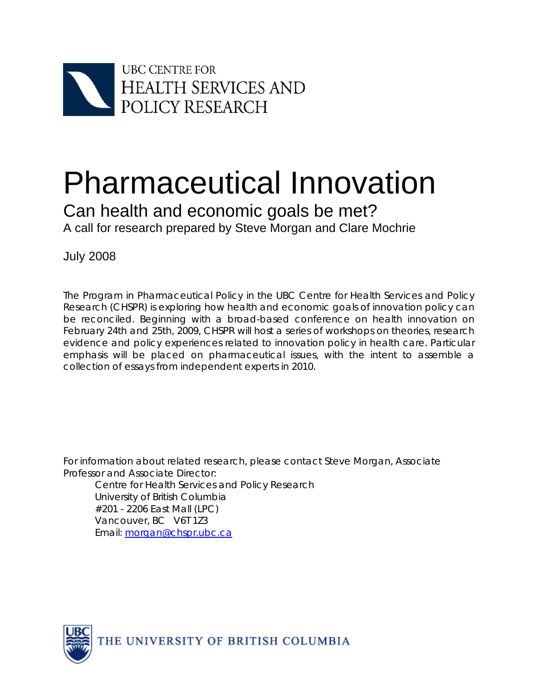

# Pharmaceutical Innovation

Can health and economic goals be met? A call for research prepared by Steve Morgan and Clare Mochrie

July 2008

The Program in Pharmaceutical Policy in the UBC Centre for Health Services and Policy Research (CHSPR) is exploring how health and economic goals of innovation policy can be reconciled. Beginning with a broad-based conference on health innovation on February 24th and 25th, 2009, CHSPR will host a series of workshops on theories, research evidence and policy experiences related to innovation policy in health care. Particular emphasis will be placed on pharmaceutical issues, with the intent to assemble a collection of essays from independent experts in 2010.

For information about related research, please contact Steve Morgan, Associate Professor and Associate Director:

Centre for Health Services and Policy Research University of British Columbia #201 - 2206 East Mall (LPC) Vancouver, BC V6T 1Z3 Email: morgan@chspr.ubc.ca

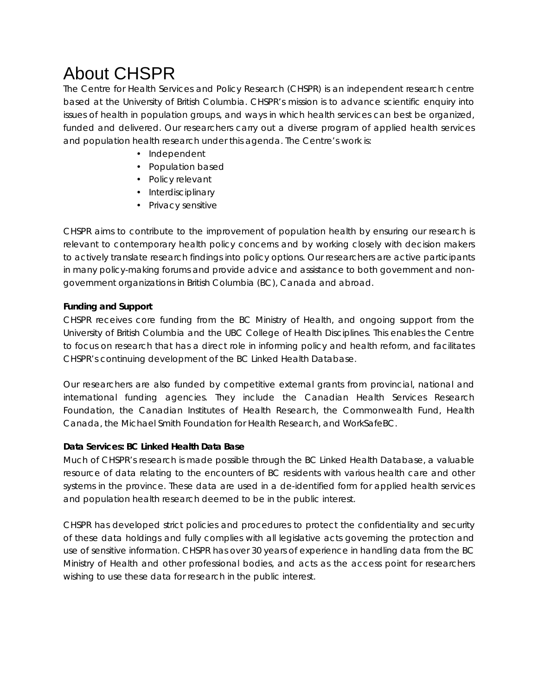## About CHSPR

The Centre for Health Services and Policy Research (CHSPR) is an independent research centre based at the University of British Columbia. CHSPR's mission is to advance scientific enquiry into issues of health in population groups, and ways in which health services can best be organized, funded and delivered. Our researchers carry out a diverse program of applied health services and population health research under this agenda. The Centre's work is:

- Independent
- Population based
- Policy relevant
- Interdisciplinary
- Privacy sensitive

CHSPR aims to contribute to the improvement of population health by ensuring our research is relevant to contemporary health policy concerns and by working closely with decision makers to actively translate research findings into policy options. Our researchers are active participants in many policy-making forums and provide advice and assistance to both government and nongovernment organizations in British Columbia (BC), Canada and abroad.

#### **Funding and Support**

CHSPR receives core funding from the BC Ministry of Health, and ongoing support from the University of British Columbia and the UBC College of Health Disciplines. This enables the Centre to focus on research that has a direct role in informing policy and health reform, and facilitates CHSPR's continuing development of the BC Linked Health Database.

Our researchers are also funded by competitive external grants from provincial, national and international funding agencies. They include the Canadian Health Services Research Foundation, the Canadian Institutes of Health Research, the Commonwealth Fund, Health Canada, the Michael Smith Foundation for Health Research, and WorkSafeBC.

#### **Data Services: BC Linked Health Data Base**

Much of CHSPR's research is made possible through the BC Linked Health Database, a valuable resource of data relating to the encounters of BC residents with various health care and other systems in the province. These data are used in a de-identified form for applied health services and population health research deemed to be in the public interest.

CHSPR has developed strict policies and procedures to protect the confidentiality and security of these data holdings and fully complies with all legislative acts governing the protection and use of sensitive information. CHSPR has over 30 years of experience in handling data from the BC Ministry of Health and other professional bodies, and acts as the access point for researchers wishing to use these data for research in the public interest.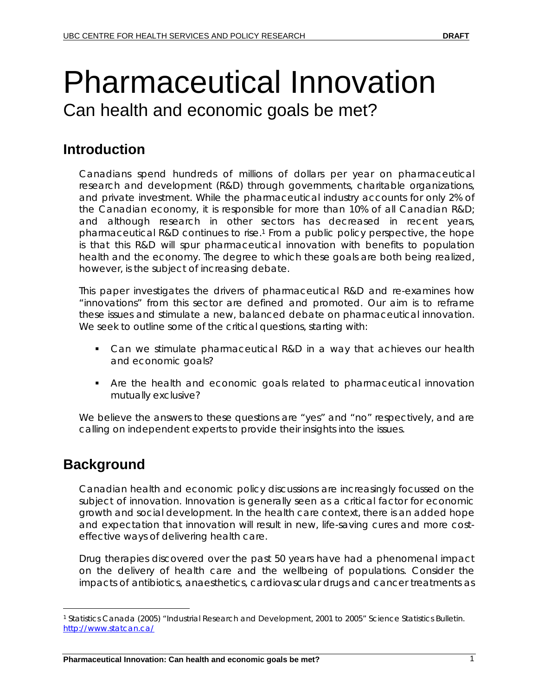# Pharmaceutical Innovation Can health and economic goals be met?

## **Introduction**

Canadians spend hundreds of millions of dollars per year on pharmaceutical research and development (R&D) through governments, charitable organizations, and private investment. While the pharmaceutical industry accounts for only 2% of the Canadian economy, it is responsible for more than 10% of all Canadian R&D; and although research in other sectors has decreased in recent years, pharmaceutical R&D continues to rise.1 From a public policy perspective, the hope is that this R&D will spur pharmaceutical innovation with benefits to population health and the economy. The degree to which these goals are both being realized, however, is the subject of increasing debate.

This paper investigates the drivers of pharmaceutical R&D and re-examines how "innovations" from this sector are defined and promoted. Our aim is to reframe these issues and stimulate a new, balanced debate on pharmaceutical innovation. We seek to outline some of the critical questions, starting with:

- **Can we stimulate pharmaceutical R&D in a way that achieves our health** and economic goals?
- Are the health and economic goals related to pharmaceutical innovation mutually exclusive?

We believe the answers to these questions are "yes" and "no" respectively, and are calling on independent experts to provide their insights into the issues.

#### **Background**

 $\overline{a}$ 

Canadian health and economic policy discussions are increasingly focussed on the subject of innovation. Innovation is generally seen as a critical factor for economic growth and social development. In the health care context, there is an added hope and expectation that innovation will result in new, life-saving cures and more costeffective ways of delivering health care.

Drug therapies discovered over the past 50 years have had a phenomenal impact on the delivery of health care and the wellbeing of populations. Consider the impacts of antibiotics, anaesthetics, cardiovascular drugs and cancer treatments as

<sup>1</sup> Statistics Canada (2005) "Industrial Research and Development, 2001 to 2005" Science Statistics Bulletin. http://www.statcan.ca/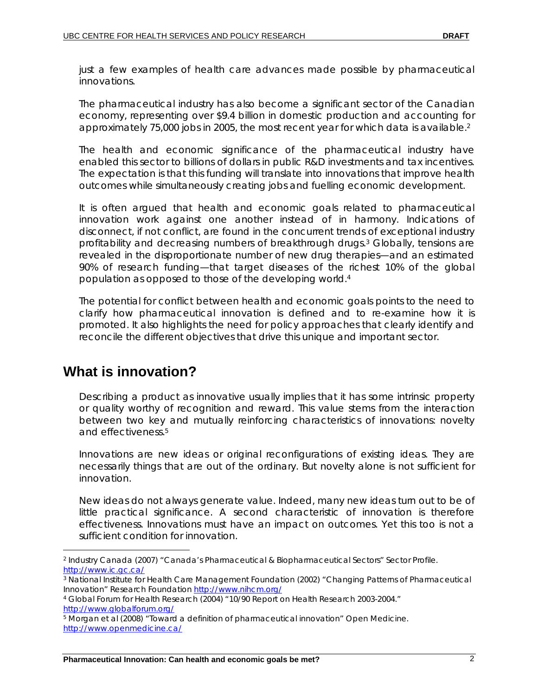just a few examples of health care advances made possible by pharmaceutical innovations.

The pharmaceutical industry has also become a significant sector of the Canadian economy, representing over \$9.4 billion in domestic production and accounting for approximately 75,000 jobs in 2005, the most recent year for which data is available.<sup>2</sup>

The health and economic significance of the pharmaceutical industry have enabled this sector to billions of dollars in public R&D investments and tax incentives. The expectation is that this funding will translate into innovations that improve health outcomes while simultaneously creating jobs and fuelling economic development.

It is often argued that health and economic goals related to pharmaceutical innovation work against one another instead of in harmony. Indications of disconnect, if not conflict, are found in the concurrent trends of exceptional industry profitability and decreasing numbers of breakthrough drugs.3 Globally, tensions are revealed in the disproportionate number of new drug therapies—and an estimated 90% of research funding—that target diseases of the richest 10% of the global population as opposed to those of the developing world.4

The potential for conflict between health and economic goals points to the need to clarify how pharmaceutical innovation is defined and to re-examine how it is promoted. It also highlights the need for policy approaches that clearly identify and reconcile the different objectives that drive this unique and important sector.

#### **What is innovation?**

 $\overline{a}$ 

Describing a product as innovative usually implies that it has some intrinsic property or quality worthy of recognition and reward. This value stems from the interaction between two key and mutually reinforcing characteristics of innovations: novelty and effectiveness.5

Innovations are new ideas or original reconfigurations of existing ideas. They are necessarily things that are out of the ordinary. But novelty alone is not sufficient for innovation.

New ideas do not always generate value. Indeed, many new ideas turn out to be of little practical significance. A second characteristic of innovation is therefore effectiveness. Innovations must have an impact on outcomes. Yet this too is not a sufficient condition for innovation.

<sup>2</sup> Industry Canada (2007) "Canada's Pharmaceutical & Biopharmaceutical Sectors" Sector Profile. http://www.ic.gc.ca/<br><sup>3</sup> National Institute for Health Care Management Foundation (2002) "Changing Patterns of Pharmaceutical

Innovation" Research Foundation http://www.nihcm.org/<br>4 Global Forum for Health Research (2004) "10/90 Report on Health Research 2003-2004."

http://www.globalforum.org/<br><sup>5</sup> Morgan et al (2008) "Toward a definition of pharmaceutical innovation" Open Medicine.

http://www.openmedicine.ca/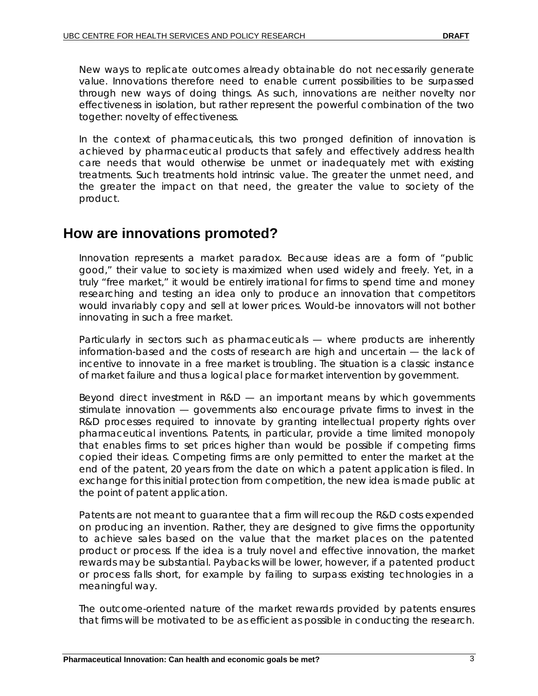New ways to replicate outcomes already obtainable do not necessarily generate value. Innovations therefore need to enable current possibilities to be surpassed through new ways of doing things. As such, innovations are neither novelty nor effectiveness in isolation, but rather represent the powerful combination of the two together: *novelty of effectiveness*.

In the context of pharmaceuticals, this two pronged definition of innovation is achieved by pharmaceutical products that safely and effectively address health care needs that would otherwise be unmet or inadequately met with existing treatments. Such treatments hold intrinsic value. The greater the unmet need, and the greater the impact on that need, the greater the value to society of the product.

#### **How are innovations promoted?**

Innovation represents a market paradox. Because ideas are a form of "public good," their value to society is maximized when used widely and freely. Yet, in a truly "free market," it would be entirely irrational for firms to spend time and money researching and testing an idea only to produce an innovation that competitors would invariably copy and sell at lower prices. Would-be innovators will not bother innovating in such a free market.

Particularly in sectors such as pharmaceuticals — where products are inherently information-based and the costs of research are high and uncertain — the lack of incentive to innovate in a free market is troubling. The situation is a classic instance of market failure and thus a logical place for market intervention by government.

Beyond direct investment in R&D — an important means by which governments stimulate innovation — governments also encourage private firms to invest in the R&D processes required to innovate by granting intellectual property rights over pharmaceutical inventions. Patents, in particular, provide a time limited monopoly that enables firms to set prices higher than would be possible if competing firms copied their ideas. Competing firms are only permitted to enter the market at the end of the patent, 20 years from the date on which a patent application is filed. In exchange for this initial protection from competition, the new idea is made public at the point of patent application.

Patents are not meant to guarantee that a firm will recoup the R&D costs expended on producing an invention. Rather, they are designed to give firms the opportunity to achieve sales based on the value that the market places on the patented product or process. If the idea is a truly novel and effective innovation, the market rewards may be substantial. Paybacks will be lower, however, if a patented product or process falls short, for example by failing to surpass existing technologies in a meaningful way.

The outcome-oriented nature of the market rewards provided by patents ensures that firms will be motivated to be as efficient as possible in conducting the research.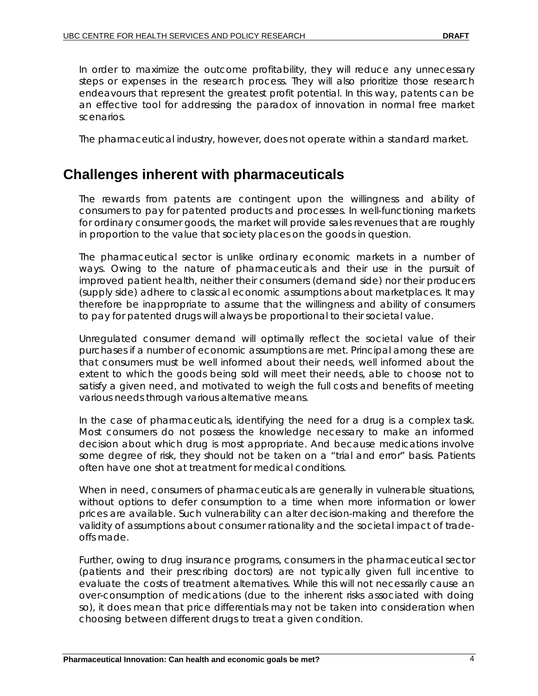In order to maximize the outcome profitability, they will reduce any unnecessary steps or expenses in the research process. They will also prioritize those research endeavours that represent the greatest profit potential. In this way, patents can be an effective tool for addressing the paradox of innovation in normal free market scenarios.

The pharmaceutical industry, however, does not operate within a standard market.

#### **Challenges inherent with pharmaceuticals**

The rewards from patents are contingent upon the willingness and ability of consumers to pay for patented products and processes. In well-functioning markets for ordinary consumer goods, the market will provide sales revenues that are roughly in proportion to the value that society places on the goods in question.

The pharmaceutical sector is unlike ordinary economic markets in a number of ways. Owing to the nature of pharmaceuticals and their use in the pursuit of improved patient health, neither their consumers (demand side) nor their producers (supply side) adhere to classical economic assumptions about marketplaces. It may therefore be inappropriate to assume that the willingness and ability of consumers to pay for patented drugs will always be proportional to their societal value.

Unregulated consumer demand will optimally reflect the societal value of their purchases if a number of economic assumptions are met. Principal among these are that consumers must be well informed about their needs, well informed about the extent to which the goods being sold will meet their needs, able to choose not to satisfy a given need, and motivated to weigh the full costs and benefits of meeting various needs through various alternative means.

In the case of pharmaceuticals, identifying the need for a drug is a complex task. Most consumers do not possess the knowledge necessary to make an informed decision about which drug is most appropriate. And because medications involve some degree of risk, they should not be taken on a "trial and error" basis. Patients often have one shot at treatment for medical conditions.

When in need, consumers of pharmaceuticals are generally in vulnerable situations, without options to defer consumption to a time when more information or lower prices are available. Such vulnerability can alter decision-making and therefore the validity of assumptions about consumer rationality and the societal impact of tradeoffs made.

Further, owing to drug insurance programs, consumers in the pharmaceutical sector (patients and their prescribing doctors) are not typically given full incentive to evaluate the costs of treatment alternatives. While this will not necessarily cause an over-consumption of medications (due to the inherent risks associated with doing so), it does mean that price differentials may not be taken into consideration when choosing between different drugs to treat a given condition.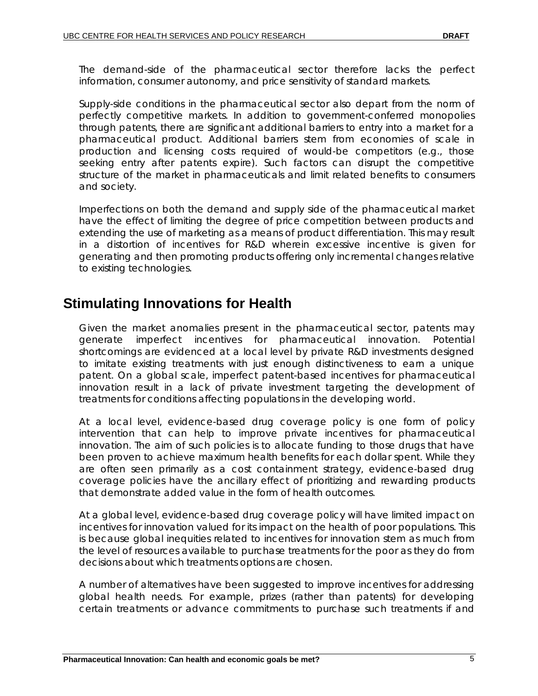The demand-side of the pharmaceutical sector therefore lacks the perfect information, consumer autonomy, and price sensitivity of standard markets.

Supply-side conditions in the pharmaceutical sector also depart from the norm of perfectly competitive markets. In addition to government-conferred monopolies through patents, there are significant additional barriers to entry into a market for a pharmaceutical product. Additional barriers stem from economies of scale in production and licensing costs required of would-be competitors (e.g., those seeking entry after patents expire). Such factors can disrupt the competitive structure of the market in pharmaceuticals and limit related benefits to consumers and society.

Imperfections on both the demand and supply side of the pharmaceutical market have the effect of limiting the degree of price competition between products and extending the use of marketing as a means of product differentiation. This may result in a distortion of incentives for R&D wherein excessive incentive is given for generating and then promoting products offering only incremental changes relative to existing technologies.

#### **Stimulating Innovations for Health**

Given the market anomalies present in the pharmaceutical sector, patents may generate imperfect incentives for pharmaceutical innovation. Potential shortcomings are evidenced at a local level by private R&D investments designed to imitate existing treatments with just enough distinctiveness to earn a unique patent. On a global scale, imperfect patent-based incentives for pharmaceutical innovation result in a lack of private investment targeting the development of treatments for conditions affecting populations in the developing world.

At a local level, evidence-based drug coverage policy is one form of policy intervention that can help to improve private incentives for pharmaceutical innovation. The aim of such policies is to allocate funding to those drugs that have been proven to achieve maximum health benefits for each dollar spent. While they are often seen primarily as a cost containment strategy, evidence-based drug coverage policies have the ancillary effect of prioritizing and rewarding products that demonstrate added value in the form of health outcomes.

At a global level, evidence-based drug coverage policy will have limited impact on incentives for innovation valued for its impact on the health of poor populations. This is because global inequities related to incentives for innovation stem as much from the level of resources available to purchase treatments for the poor as they do from decisions about which treatments options are chosen.

A number of alternatives have been suggested to improve incentives for addressing global health needs. For example, prizes (rather than patents) for developing certain treatments or advance commitments to purchase such treatments if and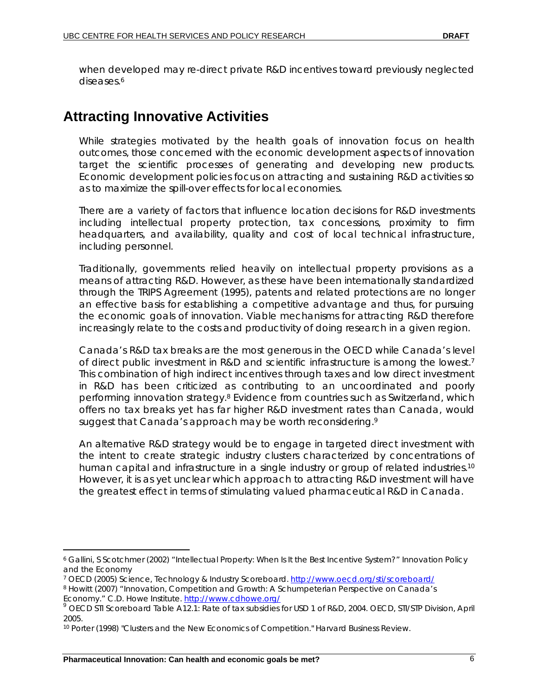when developed may re-direct private R&D incentives toward previously neglected diseases.<sup>6</sup>

#### **Attracting Innovative Activities**

While strategies motivated by the health goals of innovation focus on health outcomes, those concerned with the economic development aspects of innovation target the scientific processes of generating and developing new products. Economic development policies focus on attracting and sustaining R&D activities so as to maximize the spill-over effects for local economies.

There are a variety of factors that influence location decisions for R&D investments including intellectual property protection, tax concessions, proximity to firm headquarters, and availability, quality and cost of local technical infrastructure, including personnel.

Traditionally, governments relied heavily on intellectual property provisions as a means of attracting R&D. However, as these have been internationally standardized through the TRIPS Agreement (1995), patents and related protections are no longer an effective basis for establishing a competitive advantage and thus, for pursuing the economic goals of innovation. Viable mechanisms for attracting R&D therefore increasingly relate to the costs and productivity of doing research in a given region.

Canada's R&D tax breaks are the most generous in the OECD while Canada's level of direct public investment in R&D and scientific infrastructure is among the lowest.7 This combination of high indirect incentives through taxes and low direct investment in R&D has been criticized as contributing to an uncoordinated and poorly performing innovation strategy.8 Evidence from countries such as Switzerland, which offers no tax breaks yet has far higher R&D investment rates than Canada, would suggest that Canada's approach may be worth reconsidering.<sup>9</sup>

An alternative R&D strategy would be to engage in targeted direct investment with the intent to create strategic industry clusters characterized by concentrations of human capital and infrastructure in a single industry or group of related industries.<sup>10</sup> However, it is as yet unclear which approach to attracting R&D investment will have the greatest effect in terms of stimulating valued pharmaceutical R&D in Canada.

 $\overline{a}$ 

<sup>6</sup> Gallini, S Scotchmer (2002) "Intellectual Property: When Is It the Best Incentive System?" Innovation Policy and the Economy

<sup>&</sup>lt;sup>7</sup> OECD (2005) Science, Technology & Industry Scoreboard. http://www.oecd.org/sti/scoreboard/<br><sup>8</sup> Howitt (2007) "Innovation, Competition and Growth: A Schumpeterian Perspective on Canada's<br>Economy." C.D. Howe Institute. h

OECD STI Scoreboard Table A12.1: Rate of tax subsidies for USD 1 of R&D, 2004. OECD, STI/STP Division, April 2005.

<sup>10</sup> Porter (1998) "Clusters and the New Economics of Competition." Harvard Business Review.